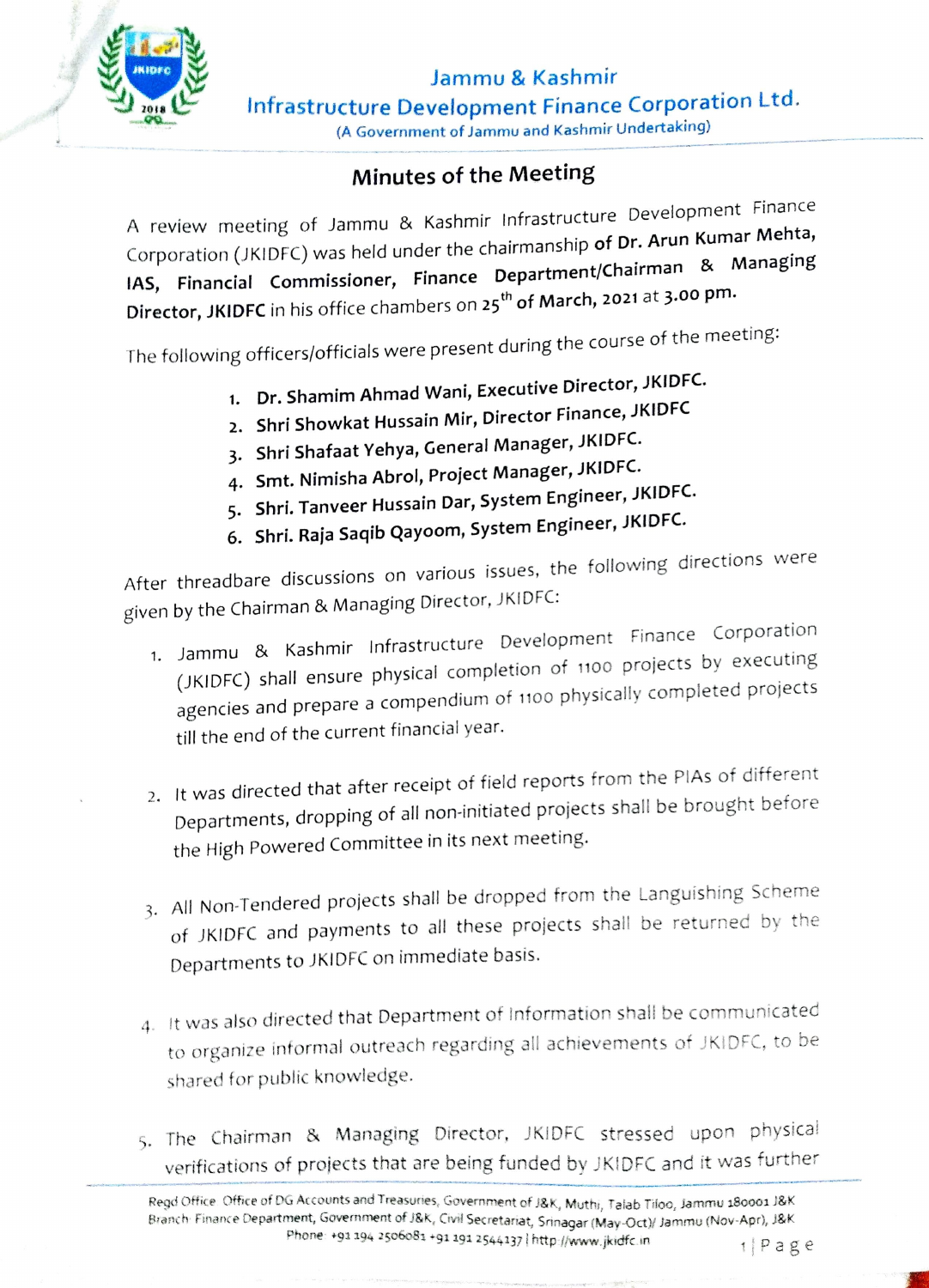

Jammu & Kashmir Infrastructure Development Finance Corporation Ltd. (A Government of Jammu and Kashmir Undertaking)

## Minutes of the Meeting

A review meeting of Jammu & Kashmir Infrastructure Development Finance Corporation (JKIDFC) was held under the chairmanship of Dr. Arun Kumar Mehta, IAS, Financial Commissioner, Finance Department/Chairman & Managing Director, JKIDFC in his office chambers on 25<sup>th</sup> of March, 2021 at 3.00 pm.

The following officers/officials were present during the course of the meeting:

- . Dr. Shamim Ahmad Wani, Executive Director, JKiDFC.
- 2. Shri Showkat Hussain Mir, Director Finance, JKIDFC
- 3. Shri Shafaat Yehya, General Manager, JKIDFC.
- 4. Smt. Nimisha Abrol, Project Manager, JKIDFC.
- 5. Shri. Tanveer Hussain Dar, System Engineer, JKiDFC.
- 6. Shri. Raja Saqib Qayoom, System Engineer, JKIDFC.

After threadbare discussions on various issues, the following directions were given by the Chairman & Managing Director, JKIDFC:

- 1. Jammu & Kashmir Infrastructure Development Finance Corporation (JKIDFC) shall ensure physical completion of 1100 projects by executing agencies and prepare a compendium of 1100 physically completed projects till the end of the current financial year.
- 2. It was directed that after receipt of field reports from the PIAs of different Departments, dropping of all non-initiated projects shall be brought before the High Powered Committee in its next meeting.
- 3. All Non-Tendered projects shall be dropped from the Languishing Scheme of JKIDFC and payments to all these projects shall be returned by the Departments to JKIDFC on immediate basis.
- 4. It was also directed that Department ot Information shali be communicated to organize intormal outreach regarding all achievements of JKiDFC, to be shared for public knowledge.
- 5. The Chairman & Managing Director, JKIDFC stressed upon physica! verifications of projects that are being funded by JKiDFC and it was further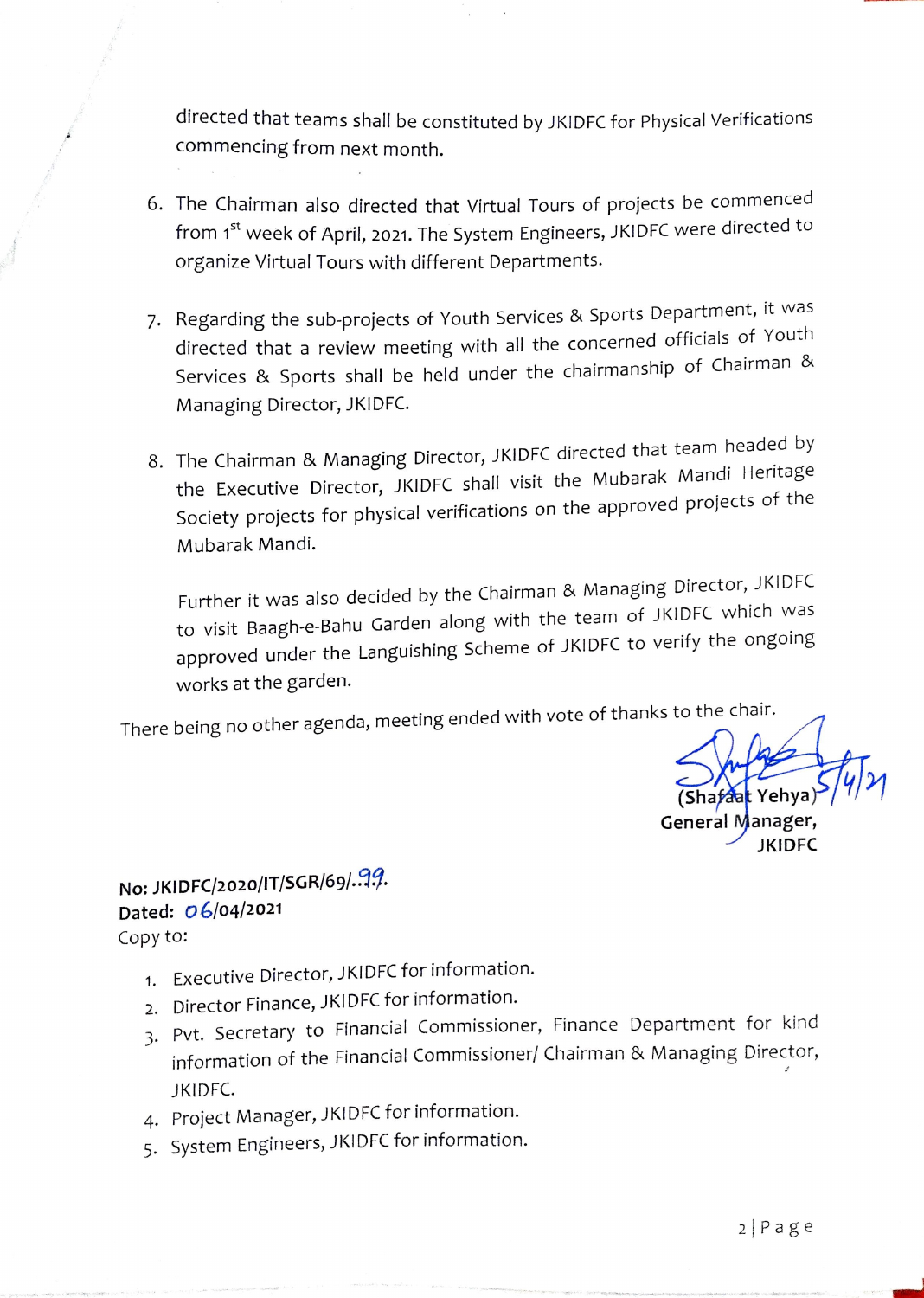directed that teams shall be constituted by JKIDFC for Physical Verifications Commencing from next month.

- 6. The Chairman also directed that Virtual Tours of projects be commenced from 1<sup>st</sup> week of April, 2021. The System Engineers, JKIDFC were directed to organize Virtual Tours with different Departments.
- 7. Regarding the sub-projects of Youth Services & Sports Department, it was directed that a review meeting with all the concerned officials of Youth Services & Sports shall be held under the chairmanship of Chairman & Managing Director, JKIDFC.
- 8. The Chairman & Managing Director, JKIDFC directed that team headed by the Executive Director, JKIDFC shall visit the Mubarak Mandi Heritage Society projects for physical verifications on the approved projects of the Mubarak Mandi.

Further it was also decided by the Chairman & Managing Director, JKIDFC to visit Baagh-e-Bahu Garden along with the team of JKIDFC which was approved under the Languishing Scheme of JKIDFC to verify the ongoing works at the garden.

There being no other agenda, meeting ended with vote of thanks to the chair.

(Shafaat Yehya General Manager, JKIDFC

## No: JKIDFC/2020/IT/SGR/69/.19. Dated: O6/04/2021 Copy to:

- 1. Executive Director, JKIDFC for information.
- 2. Director Finance, JKIDFC for information.
- 3. Pvt. Secretary to Financial Commissioner, Finance Department for kind information of the Financial Commissioner/ Chairman & Managing Director, JKIDFC.
- 4. Project Manager, JKIDFC for information.
- 5. System Engineers, JKIDFC for information.